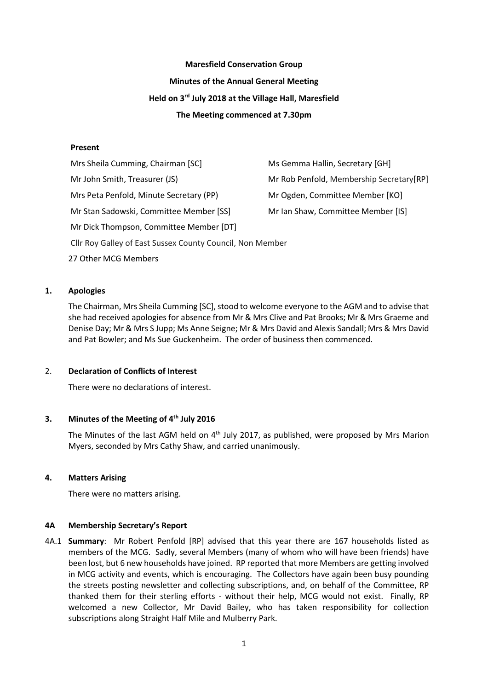# **Maresfield Conservation Group Minutes of the Annual General Meeting Held on 3 rd July 2018 at the Village Hall, Maresfield The Meeting commenced at 7.30pm**

# **Present**

Mrs Sheila Cumming, Chairman [SC] Ms Gemma Hallin, Secretary [GH] Mr John Smith, Treasurer (JS) Mr Rob Penfold, Membership Secretary [RP] Mrs Peta Penfold, Minute Secretary (PP) Mr Ogden, Committee Member [KO] Mr Stan Sadowski, Committee Member [SS] Mr Ian Shaw, Committee Member [IS] Mr Dick Thompson, Committee Member [DT] Cllr Roy Galley of East Sussex County Council, Non Member 27 Other MCG Members

# **1. Apologies**

The Chairman, Mrs Sheila Cumming [SC], stood to welcome everyone to the AGM and to advise that she had received apologies for absence from Mr & Mrs Clive and Pat Brooks; Mr & Mrs Graeme and Denise Day; Mr & Mrs S Jupp; Ms Anne Seigne; Mr & Mrs David and Alexis Sandall; Mrs & Mrs David and Pat Bowler; and Ms Sue Guckenheim. The order of business then commenced.

## 2. **Declaration of Conflicts of Interest**

There were no declarations of interest.

# **3. Minutes of the Meeting of 4 th July 2016**

The Minutes of the last AGM held on  $4<sup>th</sup>$  July 2017, as published, were proposed by Mrs Marion Myers, seconded by Mrs Cathy Shaw, and carried unanimously.

## **4. Matters Arising**

There were no matters arising.

## **4A Membership Secretary's Report**

4A.1 **Summary**: Mr Robert Penfold [RP] advised that this year there are 167 households listed as members of the MCG. Sadly, several Members (many of whom who will have been friends) have been lost, but 6 new households have joined. RP reported that more Members are getting involved in MCG activity and events, which is encouraging. The Collectors have again been busy pounding the streets posting newsletter and collecting subscriptions, and, on behalf of the Committee, RP thanked them for their sterling efforts - without their help, MCG would not exist. Finally, RP welcomed a new Collector, Mr David Bailey, who has taken responsibility for collection subscriptions along Straight Half Mile and Mulberry Park.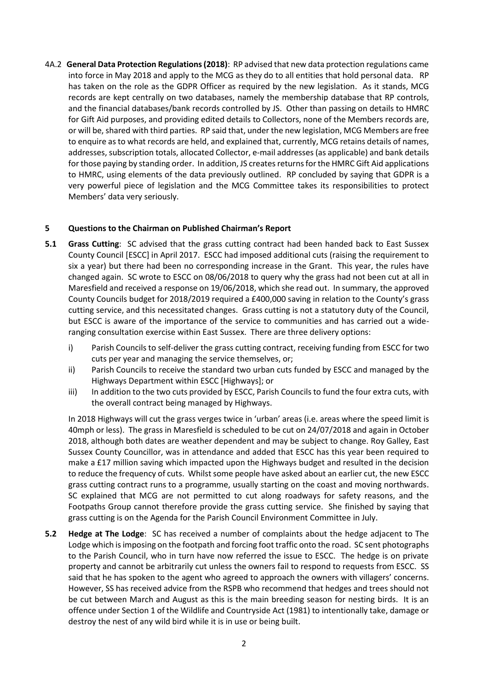4A.2 **General Data Protection Regulations (2018)**: RP advised that new data protection regulations came into force in May 2018 and apply to the MCG as they do to all entities that hold personal data. RP has taken on the role as the GDPR Officer as required by the new legislation. As it stands, MCG records are kept centrally on two databases, namely the membership database that RP controls, and the financial databases/bank records controlled by JS. Other than passing on details to HMRC for Gift Aid purposes, and providing edited details to Collectors, none of the Members records are, or will be, shared with third parties. RP said that, under the new legislation, MCG Members are free to enquire as to what records are held, and explained that, currently, MCG retains details of names, addresses, subscription totals, allocated Collector, e-mail addresses (as applicable) and bank details for those paying by standing order. In addition, JS creates returns for the HMRC Gift Aid applications to HMRC, using elements of the data previously outlined. RP concluded by saying that GDPR is a very powerful piece of legislation and the MCG Committee takes its responsibilities to protect Members' data very seriously.

# **5 Questions to the Chairman on Published Chairman's Report**

- **5.1 Grass Cutting**: SC advised that the grass cutting contract had been handed back to East Sussex County Council [ESCC] in April 2017. ESCC had imposed additional cuts (raising the requirement to six a year) but there had been no corresponding increase in the Grant. This year, the rules have changed again. SC wrote to ESCC on 08/06/2018 to query why the grass had not been cut at all in Maresfield and received a response on 19/06/2018, which she read out. In summary, the approved County Councils budget for 2018/2019 required a £400,000 saving in relation to the County's grass cutting service, and this necessitated changes. Grass cutting is not a statutory duty of the Council, but ESCC is aware of the importance of the service to communities and has carried out a wideranging consultation exercise within East Sussex. There are three delivery options:
	- i) Parish Councils to self-deliver the grass cutting contract, receiving funding from ESCC for two cuts per year and managing the service themselves, or;
	- ii) Parish Councils to receive the standard two urban cuts funded by ESCC and managed by the Highways Department within ESCC [Highways]; or
	- iii) In addition to the two cuts provided by ESCC, Parish Councils to fund the four extra cuts, with the overall contract being managed by Highways.

In 2018 Highways will cut the grass verges twice in 'urban' areas (i.e. areas where the speed limit is 40mph or less). The grass in Maresfield is scheduled to be cut on 24/07/2018 and again in October 2018, although both dates are weather dependent and may be subject to change. Roy Galley, East Sussex County Councillor, was in attendance and added that ESCC has this year been required to make a £17 million saving which impacted upon the Highways budget and resulted in the decision to reduce the frequency of cuts. Whilst some people have asked about an earlier cut, the new ESCC grass cutting contract runs to a programme, usually starting on the coast and moving northwards. SC explained that MCG are not permitted to cut along roadways for safety reasons, and the Footpaths Group cannot therefore provide the grass cutting service. She finished by saying that grass cutting is on the Agenda for the Parish Council Environment Committee in July.

**5.2 Hedge at The Lodge**: SC has received a number of complaints about the hedge adjacent to The Lodge which is imposing on the footpath and forcing foot traffic onto the road. SC sent photographs to the Parish Council, who in turn have now referred the issue to ESCC. The hedge is on private property and cannot be arbitrarily cut unless the owners fail to respond to requests from ESCC. SS said that he has spoken to the agent who agreed to approach the owners with villagers' concerns. However, SS has received advice from the RSPB who recommend that hedges and trees should not be cut between March and August as this is the main breeding season for nesting birds. It is an offence under Section 1 of the Wildlife and Countryside Act (1981) to intentionally take, damage or destroy the nest of any wild bird while it is in use or being built.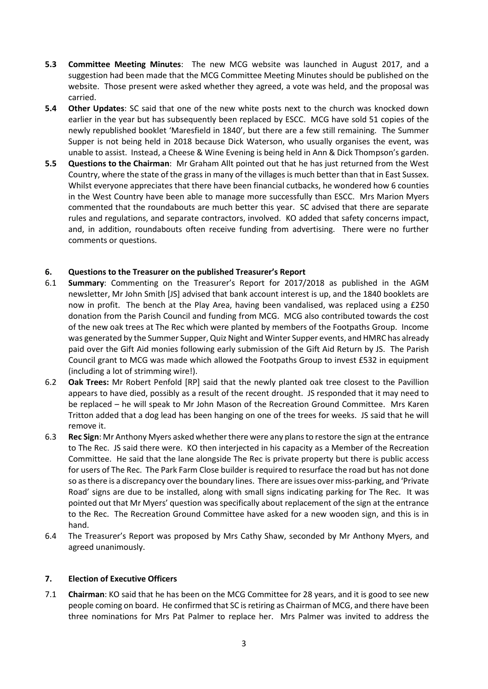- **5.3 Committee Meeting Minutes**: The new MCG website was launched in August 2017, and a suggestion had been made that the MCG Committee Meeting Minutes should be published on the website. Those present were asked whether they agreed, a vote was held, and the proposal was carried.
- **5.4 Other Updates**: SC said that one of the new white posts next to the church was knocked down earlier in the year but has subsequently been replaced by ESCC. MCG have sold 51 copies of the newly republished booklet 'Maresfield in 1840', but there are a few still remaining. The Summer Supper is not being held in 2018 because Dick Waterson, who usually organises the event, was unable to assist. Instead, a Cheese & Wine Evening is being held in Ann & Dick Thompson's garden.
- **5.5 Questions to the Chairman**: Mr Graham Allt pointed out that he has just returned from the West Country, where the state of the grass in many of the villages is much better than that in East Sussex. Whilst everyone appreciates that there have been financial cutbacks, he wondered how 6 counties in the West Country have been able to manage more successfully than ESCC. Mrs Marion Myers commented that the roundabouts are much better this year. SC advised that there are separate rules and regulations, and separate contractors, involved. KO added that safety concerns impact, and, in addition, roundabouts often receive funding from advertising. There were no further comments or questions.

# **6. Questions to the Treasurer on the published Treasurer's Report**

- 6.1 **Summary**: Commenting on the Treasurer's Report for 2017/2018 as published in the AGM newsletter, Mr John Smith [JS] advised that bank account interest is up, and the 1840 booklets are now in profit. The bench at the Play Area, having been vandalised, was replaced using a £250 donation from the Parish Council and funding from MCG. MCG also contributed towards the cost of the new oak trees at The Rec which were planted by members of the Footpaths Group. Income was generated by the Summer Supper, Quiz Night and Winter Supper events, and HMRC has already paid over the Gift Aid monies following early submission of the Gift Aid Return by JS. The Parish Council grant to MCG was made which allowed the Footpaths Group to invest £532 in equipment (including a lot of strimming wire!).
- 6.2 **Oak Trees:** Mr Robert Penfold [RP] said that the newly planted oak tree closest to the Pavillion appears to have died, possibly as a result of the recent drought. JS responded that it may need to be replaced – he will speak to Mr John Mason of the Recreation Ground Committee. Mrs Karen Tritton added that a dog lead has been hanging on one of the trees for weeks. JS said that he will remove it.
- 6.3 **Rec Sign**: Mr Anthony Myers asked whether there were any plans to restore the sign at the entrance to The Rec. JS said there were. KO then interjected in his capacity as a Member of the Recreation Committee. He said that the lane alongside The Rec is private property but there is public access for users of The Rec. The Park Farm Close builder is required to resurface the road but has not done so as there is a discrepancy over the boundary lines. There are issues over miss-parking, and 'Private Road' signs are due to be installed, along with small signs indicating parking for The Rec. It was pointed out that Mr Myers' question was specifically about replacement of the sign at the entrance to the Rec. The Recreation Ground Committee have asked for a new wooden sign, and this is in hand.
- 6.4 The Treasurer's Report was proposed by Mrs Cathy Shaw, seconded by Mr Anthony Myers, and agreed unanimously.

## **7. Election of Executive Officers**

7.1 **Chairman**: KO said that he has been on the MCG Committee for 28 years, and it is good to see new people coming on board. He confirmed that SC is retiring as Chairman of MCG, and there have been three nominations for Mrs Pat Palmer to replace her. Mrs Palmer was invited to address the